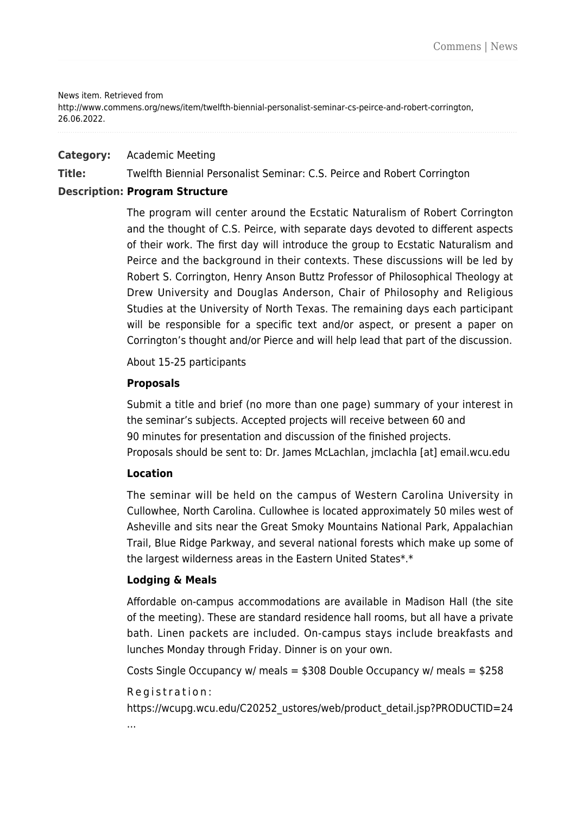#### News item. Retrieved from

http://www.commens.org/news/item/twelfth-biennial-personalist-seminar-cs-peirce-and-robert-corrington, 26.06.2022.

## **Category:** Academic Meeting

**Title:** Twelfth Biennial Personalist Seminar: C.S. Peirce and Robert Corrington

# **Description: Program Structure**

The program will center around the Ecstatic Naturalism of Robert Corrington and the thought of C.S. Peirce, with separate days devoted to different aspects of their work. The first day will introduce the group to Ecstatic Naturalism and Peirce and the background in their contexts. These discussions will be led by Robert S. Corrington, Henry Anson Buttz Professor of Philosophical Theology at Drew University and Douglas Anderson, Chair of Philosophy and Religious Studies at the University of North Texas. The remaining days each participant will be responsible for a specific text and/or aspect, or present a paper on Corrington's thought and/or Pierce and will help lead that part of the discussion.

About 15-25 participants

## **Proposals**

Submit a title and brief (no more than one page) summary of your interest in the seminar's subjects. Accepted projects will receive between 60 and 90 minutes for presentation and discussion of the finished projects. Proposals should be sent to: Dr. James McLachlan, jmclachla [at] email.wcu.edu

## **Location**

The seminar will be held on the campus of Western Carolina University in Cullowhee, North Carolina. Cullowhee is located approximately 50 miles west of Asheville and sits near the Great Smoky Mountains National Park, Appalachian Trail, Blue Ridge Parkway, and several national forests which make up some of the largest wilderness areas in the Eastern United States\*.\*

## **Lodging & Meals**

Affordable on-campus accommodations are available in Madison Hall (the site of the meeting). These are standard residence hall rooms, but all have a private bath. Linen packets are included. On-campus stays include breakfasts and lunches Monday through Friday. Dinner is on your own.

Costs Single Occupancy w/ meals =  $$308$  Double Occupancy w/ meals =  $$258$ 

#### Registration:

[https://wcupg.wcu.edu/C20252\\_ustores/web/product\\_detail.jsp?PRODUCTID=24](https://wcupg.wcu.edu/C20252_ustores/web/product_detail.jsp?PRODUCTID=247&SINGLESTORE=true) [...](https://wcupg.wcu.edu/C20252_ustores/web/product_detail.jsp?PRODUCTID=247&SINGLESTORE=true)